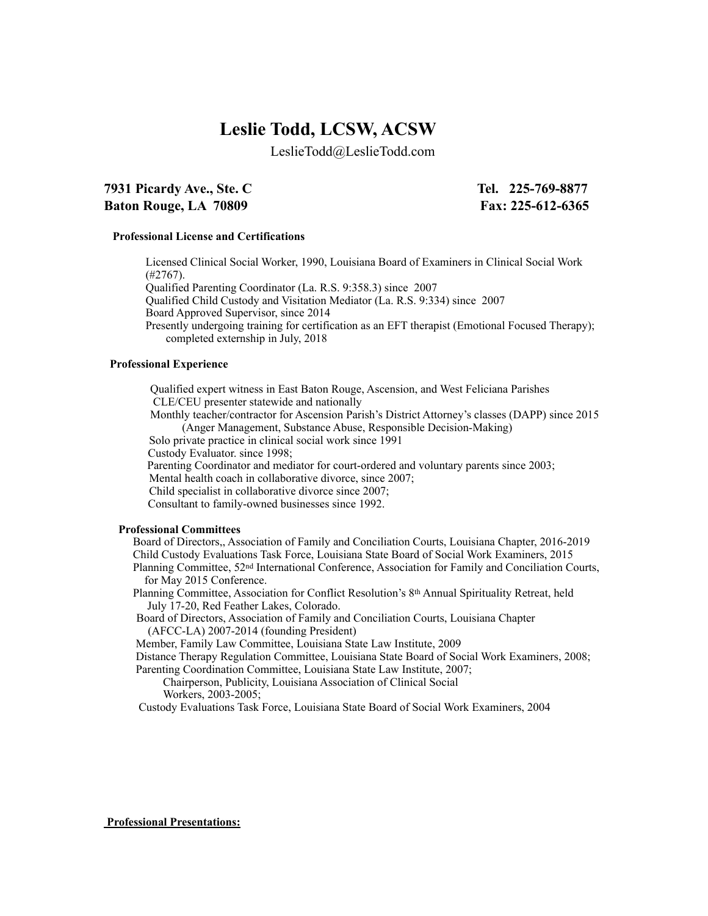# **Leslie Todd, LCSW, ACSW**

LeslieTodd@LeslieTodd.com

## **7931 Picardy Ave., Ste. C Tel. 225-769-8877 Baton Rouge, LA 70809 Fax: 225-612-6365**

## **Professional License and Certifications**

Licensed Clinical Social Worker, 1990, Louisiana Board of Examiners in Clinical Social Work (#2767).

Qualified Parenting Coordinator (La. R.S. 9:358.3) since 2007

Qualified Child Custody and Visitation Mediator (La. R.S. 9:334) since 2007

Board Approved Supervisor, since 2014

Presently undergoing training for certification as an EFT therapist (Emotional Focused Therapy); completed externship in July, 2018

#### **Professional Experience**

 Qualified expert witness in East Baton Rouge, Ascension, and West Feliciana Parishes CLE/CEU presenter statewide and nationally

 Monthly teacher/contractor for Ascension Parish's District Attorney's classes (DAPP) since 2015 (Anger Management, Substance Abuse, Responsible Decision-Making)

Solo private practice in clinical social work since 1991

Custody Evaluator. since 1998;

Parenting Coordinator and mediator for court-ordered and voluntary parents since 2003;

Mental health coach in collaborative divorce, since 2007;

Child specialist in collaborative divorce since 2007;

Consultant to family-owned businesses since 1992.

#### **Professional Committees**

Board of Directors,, Association of Family and Conciliation Courts, Louisiana Chapter, 2016-2019 Child Custody Evaluations Task Force, Louisiana State Board of Social Work Examiners, 2015 Planning Committee, 52nd International Conference, Association for Family and Conciliation Courts, for May 2015 Conference.

 Planning Committee, Association for Conflict Resolution's 8th Annual Spirituality Retreat, held July 17-20, Red Feather Lakes, Colorado.

 Board of Directors, Association of Family and Conciliation Courts, Louisiana Chapter (AFCC-LA) 2007-2014 (founding President)

Member, Family Law Committee, Louisiana State Law Institute, 2009

 Distance Therapy Regulation Committee, Louisiana State Board of Social Work Examiners, 2008; Parenting Coordination Committee, Louisiana State Law Institute, 2007;

Chairperson, Publicity, Louisiana Association of Clinical Social Workers, 2003-2005;

Custody Evaluations Task Force, Louisiana State Board of Social Work Examiners, 2004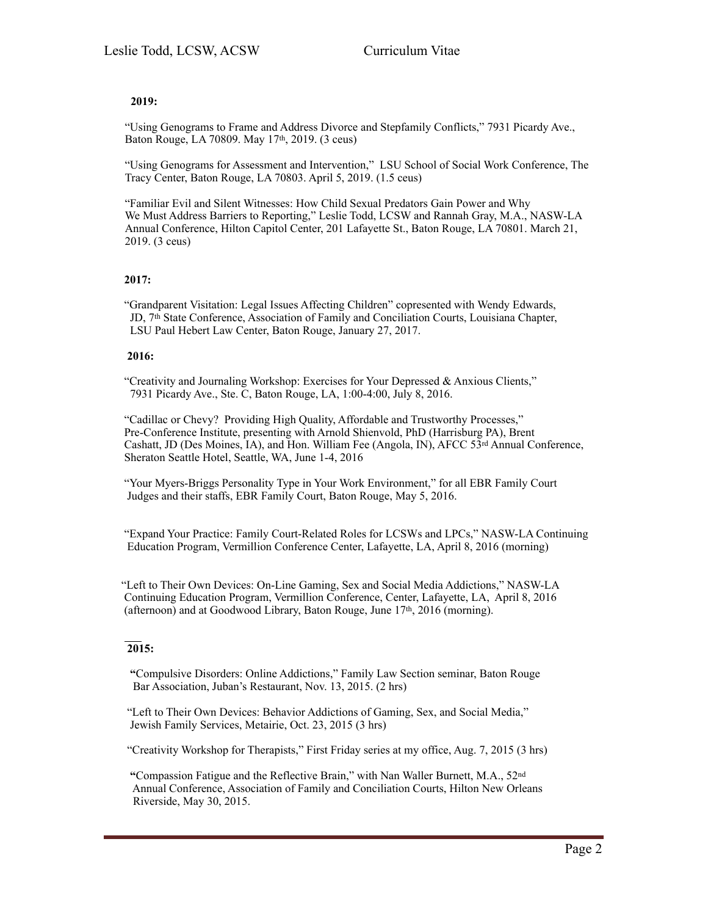## **2019:**

"Using Genograms to Frame and Address Divorce and Stepfamily Conflicts," 7931 Picardy Ave., Baton Rouge, LA 70809. May 17th, 2019. (3 ceus)

"Using Genograms for Assessment and Intervention," LSU School of Social Work Conference, The Tracy Center, Baton Rouge, LA 70803. April 5, 2019. (1.5 ceus)

"Familiar Evil and Silent Witnesses: How Child Sexual Predators Gain Power and Why We Must Address Barriers to Reporting," Leslie Todd, LCSW and Rannah Gray, M.A., NASW-LA Annual Conference, Hilton Capitol Center, 201 Lafayette St., Baton Rouge, LA 70801. March 21, 2019. (3 ceus)

## **2017:**

"Grandparent Visitation: Legal Issues Affecting Children" copresented with Wendy Edwards, JD, 7th State Conference, Association of Family and Conciliation Courts, Louisiana Chapter, LSU Paul Hebert Law Center, Baton Rouge, January 27, 2017.

## **2016:**

"Creativity and Journaling Workshop: Exercises for Your Depressed & Anxious Clients," 7931 Picardy Ave., Ste. C, Baton Rouge, LA, 1:00-4:00, July 8, 2016.

"Cadillac or Chevy? Providing High Quality, Affordable and Trustworthy Processes," Pre-Conference Institute, presenting with Arnold Shienvold, PhD (Harrisburg PA), Brent Cashatt, JD (Des Moines, IA), and Hon. William Fee (Angola, IN), AFCC 53rd Annual Conference, Sheraton Seattle Hotel, Seattle, WA, June 1-4, 2016

 "Your Myers-Briggs Personality Type in Your Work Environment," for all EBR Family Court Judges and their staffs, EBR Family Court, Baton Rouge, May 5, 2016.

 "Expand Your Practice: Family Court-Related Roles for LCSWs and LPCs," NASW-LA Continuing Education Program, Vermillion Conference Center, Lafayette, LA, April 8, 2016 (morning)

 "Left to Their Own Devices: On-Line Gaming, Sex and Social Media Addictions," NASW-LA Continuing Education Program, Vermillion Conference, Center, Lafayette, LA, April 8, 2016 (afternoon) and at Goodwood Library, Baton Rouge, June 17th, 2016 (morning).

## **2015:**

 **"**Compulsive Disorders: Online Addictions," Family Law Section seminar, Baton Rouge Bar Association, Juban's Restaurant, Nov. 13, 2015. (2 hrs)

 "Left to Their Own Devices: Behavior Addictions of Gaming, Sex, and Social Media," Jewish Family Services, Metairie, Oct. 23, 2015 (3 hrs)

"Creativity Workshop for Therapists," First Friday series at my office, Aug. 7, 2015 (3 hrs)

 **"**Compassion Fatigue and the Reflective Brain," with Nan Waller Burnett, M.A., 52nd Annual Conference, Association of Family and Conciliation Courts, Hilton New Orleans Riverside, May 30, 2015.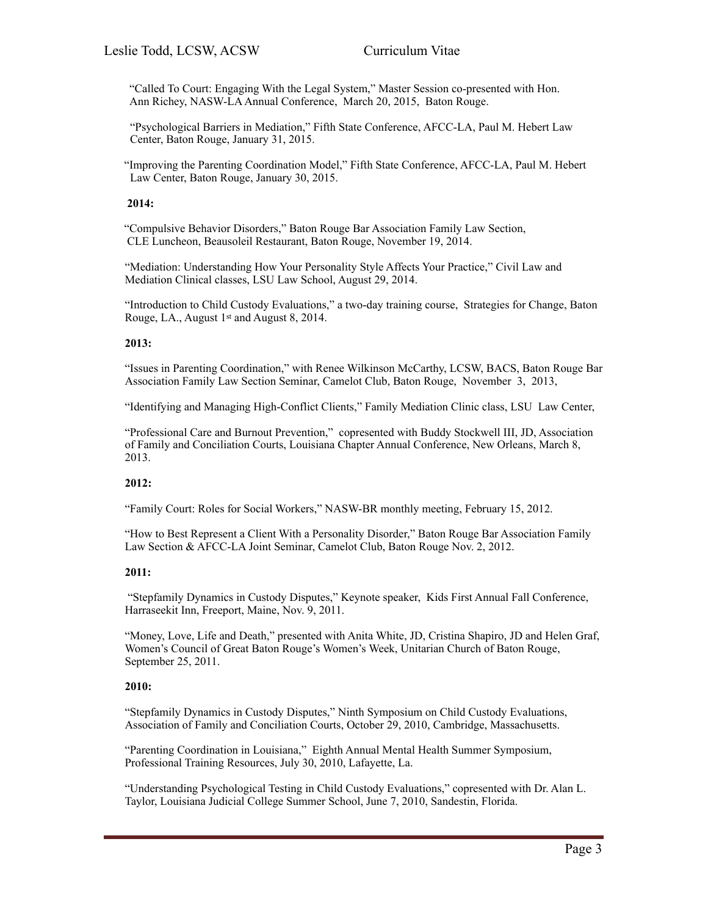"Called To Court: Engaging With the Legal System," Master Session co-presented with Hon. Ann Richey, NASW-LA Annual Conference, March 20, 2015, Baton Rouge.

"Psychological Barriers in Mediation," Fifth State Conference, AFCC-LA, Paul M. Hebert Law Center, Baton Rouge, January 31, 2015.

 "Improving the Parenting Coordination Model," Fifth State Conference, AFCC-LA, Paul M. Hebert Law Center, Baton Rouge, January 30, 2015.

## **2014:**

"Compulsive Behavior Disorders," Baton Rouge Bar Association Family Law Section, CLE Luncheon, Beausoleil Restaurant, Baton Rouge, November 19, 2014.

"Mediation: Understanding How Your Personality Style Affects Your Practice," Civil Law and Mediation Clinical classes, LSU Law School, August 29, 2014.

"Introduction to Child Custody Evaluations," a two-day training course, Strategies for Change, Baton Rouge, LA., August 1st and August 8, 2014.

#### **2013:**

"Issues in Parenting Coordination," with Renee Wilkinson McCarthy, LCSW, BACS, Baton Rouge Bar Association Family Law Section Seminar, Camelot Club, Baton Rouge, November 3, 2013,

"Identifying and Managing High-Conflict Clients," Family Mediation Clinic class, LSU Law Center,

"Professional Care and Burnout Prevention," copresented with Buddy Stockwell III, JD, Association of Family and Conciliation Courts, Louisiana Chapter Annual Conference, New Orleans, March 8, 2013.

#### **2012:**

"Family Court: Roles for Social Workers," NASW-BR monthly meeting, February 15, 2012.

"How to Best Represent a Client With a Personality Disorder," Baton Rouge Bar Association Family Law Section & AFCC-LA Joint Seminar, Camelot Club, Baton Rouge Nov. 2, 2012.

#### **2011:**

 "Stepfamily Dynamics in Custody Disputes," Keynote speaker, Kids First Annual Fall Conference, Harraseekit Inn, Freeport, Maine, Nov. 9, 2011.

"Money, Love, Life and Death," presented with Anita White, JD, Cristina Shapiro, JD and Helen Graf, Women's Council of Great Baton Rouge's Women's Week, Unitarian Church of Baton Rouge, September 25, 2011.

## **2010:**

"Stepfamily Dynamics in Custody Disputes," Ninth Symposium on Child Custody Evaluations, Association of Family and Conciliation Courts, October 29, 2010, Cambridge, Massachusetts.

"Parenting Coordination in Louisiana," Eighth Annual Mental Health Summer Symposium, Professional Training Resources, July 30, 2010, Lafayette, La.

"Understanding Psychological Testing in Child Custody Evaluations," copresented with Dr. Alan L. Taylor, Louisiana Judicial College Summer School, June 7, 2010, Sandestin, Florida.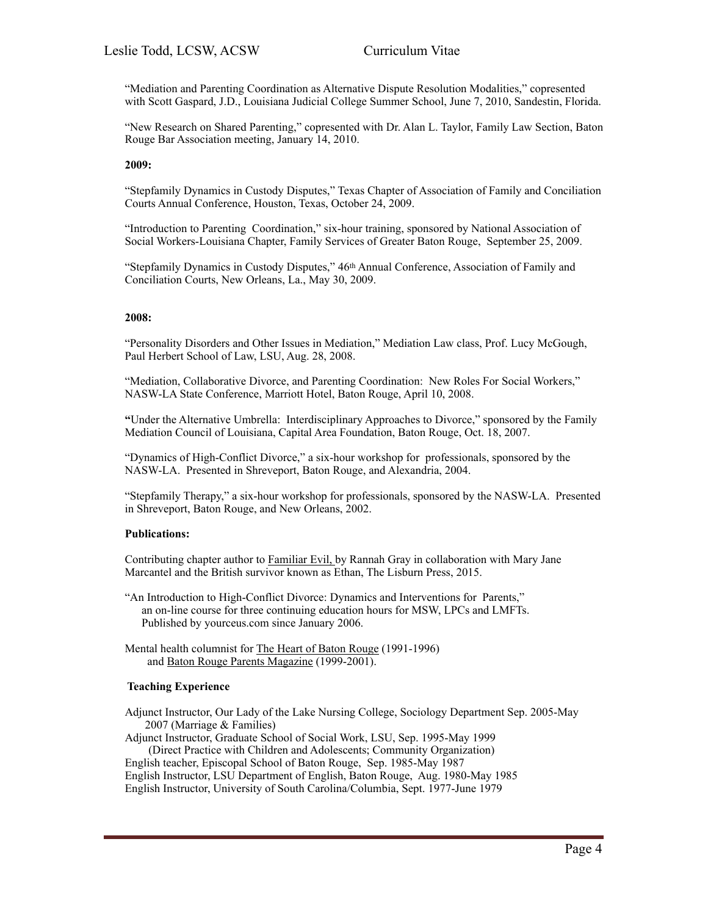"Mediation and Parenting Coordination as Alternative Dispute Resolution Modalities," copresented with Scott Gaspard, J.D., Louisiana Judicial College Summer School, June 7, 2010, Sandestin, Florida.

"New Research on Shared Parenting," copresented with Dr. Alan L. Taylor, Family Law Section, Baton Rouge Bar Association meeting, January 14, 2010.

#### **2009:**

"Stepfamily Dynamics in Custody Disputes," Texas Chapter of Association of Family and Conciliation Courts Annual Conference, Houston, Texas, October 24, 2009.

"Introduction to Parenting Coordination," six-hour training, sponsored by National Association of Social Workers-Louisiana Chapter, Family Services of Greater Baton Rouge, September 25, 2009.

"Stepfamily Dynamics in Custody Disputes," 46<sup>th</sup> Annual Conference, Association of Family and Conciliation Courts, New Orleans, La., May 30, 2009.

#### **2008:**

"Personality Disorders and Other Issues in Mediation," Mediation Law class, Prof. Lucy McGough, Paul Herbert School of Law, LSU, Aug. 28, 2008.

"Mediation, Collaborative Divorce, and Parenting Coordination: New Roles For Social Workers," NASW-LA State Conference, Marriott Hotel, Baton Rouge, April 10, 2008.

**"**Under the Alternative Umbrella: Interdisciplinary Approaches to Divorce," sponsored by the Family Mediation Council of Louisiana, Capital Area Foundation, Baton Rouge, Oct. 18, 2007.

"Dynamics of High-Conflict Divorce," a six-hour workshop for professionals, sponsored by the NASW-LA. Presented in Shreveport, Baton Rouge, and Alexandria, 2004.

"Stepfamily Therapy," a six-hour workshop for professionals, sponsored by the NASW-LA. Presented in Shreveport, Baton Rouge, and New Orleans, 2002.

#### **Publications:**

Contributing chapter author to Familiar Evil, by Rannah Gray in collaboration with Mary Jane Marcantel and the British survivor known as Ethan, The Lisburn Press, 2015.

- "An Introduction to High-Conflict Divorce: Dynamics and Interventions for Parents," an on-line course for three continuing education hours for MSW, LPCs and LMFTs. Published by yourceus.com since January 2006.
- Mental health columnist for The Heart of Baton Rouge (1991-1996) and Baton Rouge Parents Magazine (1999-2001).

### **Teaching Experience**

Adjunct Instructor, Our Lady of the Lake Nursing College, Sociology Department Sep. 2005-May 2007 (Marriage & Families)

Adjunct Instructor, Graduate School of Social Work, LSU, Sep. 1995-May 1999 (Direct Practice with Children and Adolescents; Community Organization) English teacher, Episcopal School of Baton Rouge, Sep. 1985-May 1987 English Instructor, LSU Department of English, Baton Rouge, Aug. 1980-May 1985

English Instructor, University of South Carolina/Columbia, Sept. 1977-June 1979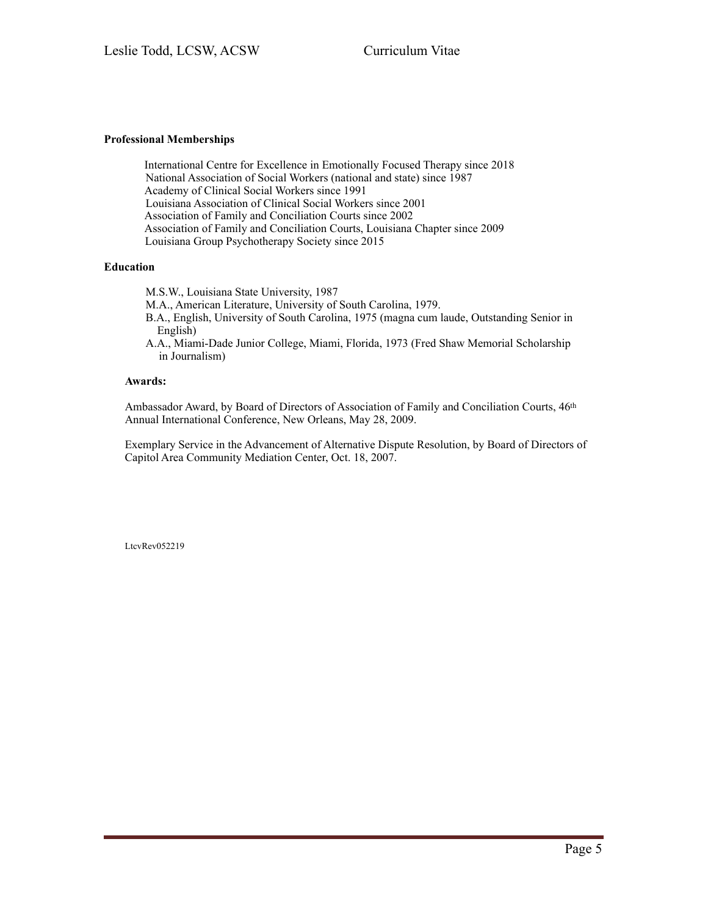## **Professional Memberships**

International Centre for Excellence in Emotionally Focused Therapy since 2018 National Association of Social Workers (national and state) since 1987 Academy of Clinical Social Workers since 1991 Louisiana Association of Clinical Social Workers since 2001 Association of Family and Conciliation Courts since 2002 Association of Family and Conciliation Courts, Louisiana Chapter since 2009 Louisiana Group Psychotherapy Society since 2015

## **Education**

M.S.W., Louisiana State University, 1987

M.A., American Literature, University of South Carolina, 1979.

- B.A., English, University of South Carolina, 1975 (magna cum laude, Outstanding Senior in English)
- A.A., Miami-Dade Junior College, Miami, Florida, 1973 (Fred Shaw Memorial Scholarship in Journalism)

## **Awards:**

Ambassador Award, by Board of Directors of Association of Family and Conciliation Courts, 46<sup>th</sup> Annual International Conference, New Orleans, May 28, 2009.

Exemplary Service in the Advancement of Alternative Dispute Resolution, by Board of Directors of Capitol Area Community Mediation Center, Oct. 18, 2007.

LtcvRev052219